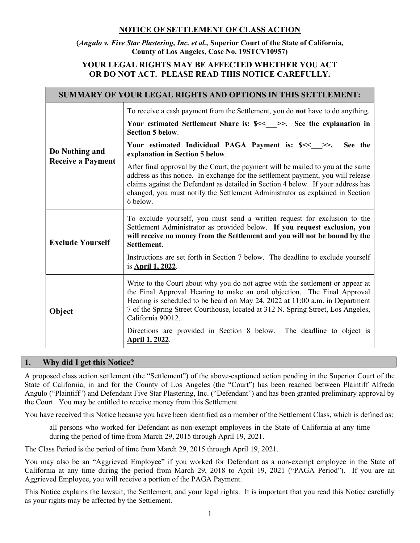# NOTICE OF SETTLEMENT OF CLASS ACTION

(Angulo v. Five Star Plastering, Inc. et al., Superior Court of the State of California, County of Los Angeles, Case No. 19STCV10957)

## YOUR LEGAL RIGHTS MAY BE AFFECTED WHETHER YOU ACT OR DO NOT ACT. PLEASE READ THIS NOTICE CAREFULLY.

| <b>SUMMARY OF YOUR LEGAL RIGHTS AND OPTIONS IN THIS SETTLEMENT:</b> |                                                                                                                                                                                                                                                                                                                                                       |
|---------------------------------------------------------------------|-------------------------------------------------------------------------------------------------------------------------------------------------------------------------------------------------------------------------------------------------------------------------------------------------------------------------------------------------------|
| Do Nothing and<br><b>Receive a Payment</b>                          | To receive a cash payment from the Settlement, you do <b>not</b> have to do anything.                                                                                                                                                                                                                                                                 |
|                                                                     | Your estimated Settlement Share is: \$<<__ >>. See the explanation in<br><b>Section 5 below.</b>                                                                                                                                                                                                                                                      |
|                                                                     | Your estimated Individual PAGA Payment is: \$<<__>.<br>See the<br>explanation in Section 5 below.                                                                                                                                                                                                                                                     |
|                                                                     | After final approval by the Court, the payment will be mailed to you at the same<br>address as this notice. In exchange for the settlement payment, you will release<br>claims against the Defendant as detailed in Section 4 below. If your address has<br>changed, you must notify the Settlement Administrator as explained in Section<br>6 below. |
| <b>Exclude Yourself</b>                                             | To exclude yourself, you must send a written request for exclusion to the<br>Settlement Administrator as provided below. If you request exclusion, you<br>will receive no money from the Settlement and you will not be bound by the<br>Settlement.                                                                                                   |
|                                                                     | Instructions are set forth in Section 7 below. The deadline to exclude yourself<br>is <b>April 1, 2022</b> .                                                                                                                                                                                                                                          |
| Object                                                              | Write to the Court about why you do not agree with the settlement or appear at<br>the Final Approval Hearing to make an oral objection. The Final Approval<br>Hearing is scheduled to be heard on May 24, 2022 at 11:00 a.m. in Department<br>7 of the Spring Street Courthouse, located at 312 N. Spring Street, Los Angeles,<br>California 90012.   |
|                                                                     | Directions are provided in Section 8 below.<br>The deadline to object is<br>April 1, 2022.                                                                                                                                                                                                                                                            |

## 1. Why did I get this Notice?

A proposed class action settlement (the "Settlement") of the above-captioned action pending in the Superior Court of the State of California, in and for the County of Los Angeles (the "Court") has been reached between Plaintiff Alfredo Angulo ("Plaintiff") and Defendant Five Star Plastering, Inc. ("Defendant") and has been granted preliminary approval by the Court. You may be entitled to receive money from this Settlement.

You have received this Notice because you have been identified as a member of the Settlement Class, which is defined as:

all persons who worked for Defendant as non-exempt employees in the State of California at any time during the period of time from March 29, 2015 through April 19, 2021.

The Class Period is the period of time from March 29, 2015 through April 19, 2021.

You may also be an "Aggrieved Employee" if you worked for Defendant as a non-exempt employee in the State of California at any time during the period from March 29, 2018 to April 19, 2021 ("PAGA Period"). If you are an Aggrieved Employee, you will receive a portion of the PAGA Payment.

This Notice explains the lawsuit, the Settlement, and your legal rights. It is important that you read this Notice carefully as your rights may be affected by the Settlement.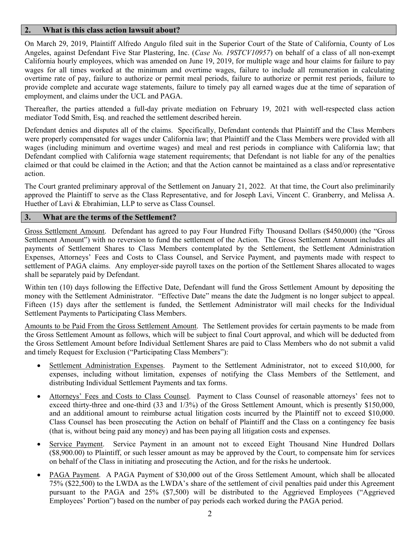### 2. What is this class action lawsuit about?

On March 29, 2019, Plaintiff Alfredo Angulo filed suit in the Superior Court of the State of California, County of Los Angeles, against Defendant Five Star Plastering, Inc. (Case No. 19STCV10957) on behalf of a class of all non-exempt California hourly employees, which was amended on June 19, 2019, for multiple wage and hour claims for failure to pay wages for all times worked at the minimum and overtime wages, failure to include all remuneration in calculating overtime rate of pay, failure to authorize or permit meal periods, failure to authorize or permit rest periods, failure to provide complete and accurate wage statements, failure to timely pay all earned wages due at the time of separation of employment, and claims under the UCL and PAGA.

Thereafter, the parties attended a full-day private mediation on February 19, 2021 with well-respected class action mediator Todd Smith, Esq. and reached the settlement described herein.

Defendant denies and disputes all of the claims. Specifically, Defendant contends that Plaintiff and the Class Members were properly compensated for wages under California law; that Plaintiff and the Class Members were provided with all wages (including minimum and overtime wages) and meal and rest periods in compliance with California law; that Defendant complied with California wage statement requirements; that Defendant is not liable for any of the penalties claimed or that could be claimed in the Action; and that the Action cannot be maintained as a class and/or representative action.

The Court granted preliminary approval of the Settlement on January 21, 2022. At that time, the Court also preliminarily approved the Plaintiff to serve as the Class Representative, and for Joseph Lavi, Vincent C. Granberry, and Melissa A. Huether of Lavi & Ebrahimian, LLP to serve as Class Counsel.

#### 3. What are the terms of the Settlement?

Gross Settlement Amount. Defendant has agreed to pay Four Hundred Fifty Thousand Dollars (\$450,000) (the "Gross Settlement Amount") with no reversion to fund the settlement of the Action. The Gross Settlement Amount includes all payments of Settlement Shares to Class Members contemplated by the Settlement, the Settlement Administration Expenses, Attorneys' Fees and Costs to Class Counsel, and Service Payment, and payments made with respect to settlement of PAGA claims. Any employer-side payroll taxes on the portion of the Settlement Shares allocated to wages shall be separately paid by Defendant.

Within ten (10) days following the Effective Date, Defendant will fund the Gross Settlement Amount by depositing the money with the Settlement Administrator. "Effective Date" means the date the Judgment is no longer subject to appeal. Fifteen (15) days after the settlement is funded, the Settlement Administrator will mail checks for the Individual Settlement Payments to Participating Class Members.

Amounts to be Paid From the Gross Settlement Amount. The Settlement provides for certain payments to be made from the Gross Settlement Amount as follows, which will be subject to final Court approval, and which will be deducted from the Gross Settlement Amount before Individual Settlement Shares are paid to Class Members who do not submit a valid and timely Request for Exclusion ("Participating Class Members"):

- Settlement Administration Expenses. Payment to the Settlement Administrator, not to exceed \$10,000, for expenses, including without limitation, expenses of notifying the Class Members of the Settlement, and distributing Individual Settlement Payments and tax forms.
- Attorneys' Fees and Costs to Class Counsel. Payment to Class Counsel of reasonable attorneys' fees not to exceed thirty-three and one-third (33 and 1/3%) of the Gross Settlement Amount, which is presently \$150,000, and an additional amount to reimburse actual litigation costs incurred by the Plaintiff not to exceed \$10,000. Class Counsel has been prosecuting the Action on behalf of Plaintiff and the Class on a contingency fee basis (that is, without being paid any money) and has been paying all litigation costs and expenses.
- Service Payment. Service Payment in an amount not to exceed Eight Thousand Nine Hundred Dollars (\$8,900.00) to Plaintiff, or such lesser amount as may be approved by the Court, to compensate him for services on behalf of the Class in initiating and prosecuting the Action, and for the risks he undertook.
- PAGA Payment. A PAGA Payment of \$30,000 out of the Gross Settlement Amount, which shall be allocated 75% (\$22,500) to the LWDA as the LWDA's share of the settlement of civil penalties paid under this Agreement pursuant to the PAGA and 25% (\$7,500) will be distributed to the Aggrieved Employees ("Aggrieved Employees' Portion") based on the number of pay periods each worked during the PAGA period.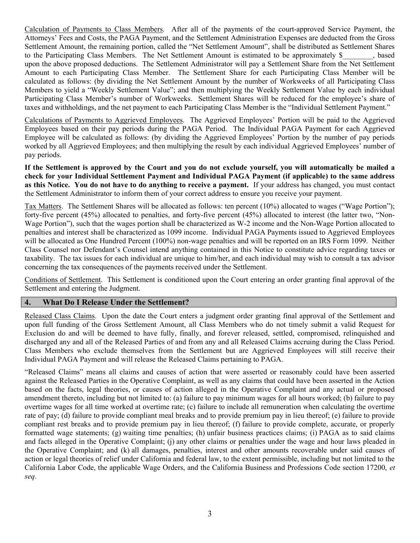Calculation of Payments to Class Members. After all of the payments of the court-approved Service Payment, the Attorneys' Fees and Costs, the PAGA Payment, and the Settlement Administration Expenses are deducted from the Gross Settlement Amount, the remaining portion, called the "Net Settlement Amount", shall be distributed as Settlement Shares to the Participating Class Members. The Net Settlement Amount is estimated to be approximately \$, based upon the above proposed deductions. The Settlement Administrator will pay a Settlement Share from the Net Settlement Amount to each Participating Class Member. The Settlement Share for each Participating Class Member will be calculated as follows: (by dividing the Net Settlement Amount by the number of Workweeks of all Participating Class Members to yield a "Weekly Settlement Value"; and then multiplying the Weekly Settlement Value by each individual Participating Class Member's number of Workweeks. Settlement Shares will be reduced for the employee's share of taxes and withholdings, and the net payment to each Participating Class Member is the "Individual Settlement Payment."

Calculations of Payments to Aggrieved Employees. The Aggrieved Employees' Portion will be paid to the Aggrieved Employees based on their pay periods during the PAGA Period. The Individual PAGA Payment for each Aggrieved Employee will be calculated as follows: (by dividing the Aggrieved Employees' Portion by the number of pay periods worked by all Aggrieved Employees; and then multiplying the result by each individual Aggrieved Employees' number of pay periods.

If the Settlement is approved by the Court and you do not exclude yourself, you will automatically be mailed a check for your Individual Settlement Payment and Individual PAGA Payment (if applicable) to the same address as this Notice. You do not have to do anything to receive a payment. If your address has changed, you must contact the Settlement Administrator to inform them of your correct address to ensure you receive your payment.

Tax Matters. The Settlement Shares will be allocated as follows: ten percent (10%) allocated to wages ("Wage Portion"); forty-five percent (45%) allocated to penalties, and forty-five percent (45%) allocated to interest (the latter two, "Non-Wage Portion"), such that the wages portion shall be characterized as W-2 income and the Non-Wage Portion allocated to penalties and interest shall be characterized as 1099 income. Individual PAGA Payments issued to Aggrieved Employees will be allocated as One Hundred Percent (100%) non-wage penalties and will be reported on an IRS Form 1099. Neither Class Counsel nor Defendant's Counsel intend anything contained in this Notice to constitute advice regarding taxes or taxability. The tax issues for each individual are unique to him/her, and each individual may wish to consult a tax advisor concerning the tax consequences of the payments received under the Settlement.

Conditions of Settlement. This Settlement is conditioned upon the Court entering an order granting final approval of the Settlement and entering the Judgment.

## 4. What Do I Release Under the Settlement?

Released Class Claims. Upon the date the Court enters a judgment order granting final approval of the Settlement and upon full funding of the Gross Settlement Amount, all Class Members who do not timely submit a valid Request for Exclusion do and will be deemed to have fully, finally, and forever released, settled, compromised, relinquished and discharged any and all of the Released Parties of and from any and all Released Claims accruing during the Class Period. Class Members who exclude themselves from the Settlement but are Aggrieved Employees will still receive their Individual PAGA Payment and will release the Released Claims pertaining to PAGA.

"Released Claims" means all claims and causes of action that were asserted or reasonably could have been asserted against the Released Parties in the Operative Complaint, as well as any claims that could have been asserted in the Action based on the facts, legal theories, or causes of action alleged in the Operative Complaint and any actual or proposed amendment thereto, including but not limited to: (a) failure to pay minimum wages for all hours worked; (b) failure to pay overtime wages for all time worked at overtime rate; (c) failure to include all remuneration when calculating the overtime rate of pay; (d) failure to provide compliant meal breaks and to provide premium pay in lieu thereof; (e) failure to provide compliant rest breaks and to provide premium pay in lieu thereof; (f) failure to provide complete, accurate, or properly formatted wage statements; (g) waiting time penalties; (h) unfair business practices claims; (i) PAGA as to said claims and facts alleged in the Operative Complaint; (j) any other claims or penalties under the wage and hour laws pleaded in the Operative Complaint; and (k) all damages, penalties, interest and other amounts recoverable under said causes of action or legal theories of relief under California and federal law, to the extent permissible, including but not limited to the California Labor Code, the applicable Wage Orders, and the California Business and Professions Code section 17200, et seq.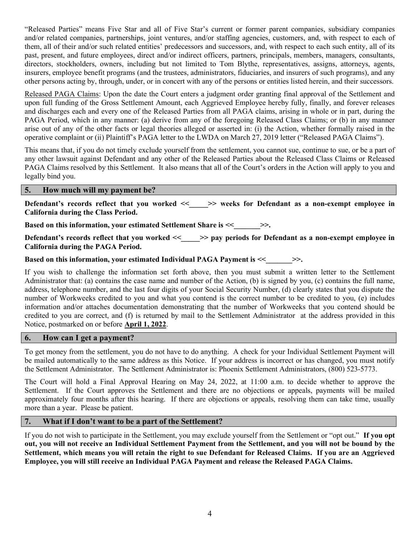"Released Parties" means Five Star and all of Five Star's current or former parent companies, subsidiary companies and/or related companies, partnerships, joint ventures, and/or staffing agencies, customers, and, with respect to each of them, all of their and/or such related entities' predecessors and successors, and, with respect to each such entity, all of its past, present, and future employees, direct and/or indirect officers, partners, principals, members, managers, consultants, directors, stockholders, owners, including but not limited to Tom Blythe, representatives, assigns, attorneys, agents, insurers, employee benefit programs (and the trustees, administrators, fiduciaries, and insurers of such programs), and any other persons acting by, through, under, or in concert with any of the persons or entities listed herein, and their successors.

Released PAGA Claims: Upon the date the Court enters a judgment order granting final approval of the Settlement and upon full funding of the Gross Settlement Amount, each Aggrieved Employee hereby fully, finally, and forever releases and discharges each and every one of the Released Parties from all PAGA claims, arising in whole or in part, during the PAGA Period, which in any manner: (a) derive from any of the foregoing Released Class Claims; or (b) in any manner arise out of any of the other facts or legal theories alleged or asserted in: (i) the Action, whether formally raised in the operative complaint or (ii) Plaintiff's PAGA letter to the LWDA on March 27, 2019 letter ("Released PAGA Claims").

This means that, if you do not timely exclude yourself from the settlement, you cannot sue, continue to sue, or be a part of any other lawsuit against Defendant and any other of the Released Parties about the Released Class Claims or Released PAGA Claims resolved by this Settlement. It also means that all of the Court's orders in the Action will apply to you and legally bind you.

## 5. How much will my payment be?

Defendant's records reflect that you worked << > > > weeks for Defendant as a non-exempt employee in California during the Class Period.

Based on this information, your estimated Settlement Share is << \_\_\_\_\_\_>>.

Defendant's records reflect that you worked << \_\_\_\_> pay periods for Defendant as a non-exempt employee in California during the PAGA Period.

Based on this information, your estimated Individual PAGA Payment is  $\ll$   $\gg$ .

If you wish to challenge the information set forth above, then you must submit a written letter to the Settlement Administrator that: (a) contains the case name and number of the Action, (b) is signed by you, (c) contains the full name, address, telephone number, and the last four digits of your Social Security Number, (d) clearly states that you dispute the number of Workweeks credited to you and what you contend is the correct number to be credited to you, (e) includes information and/or attaches documentation demonstrating that the number of Workweeks that you contend should be credited to you are correct, and (f) is returned by mail to the Settlement Administrator at the address provided in this Notice, postmarked on or before April 1, 2022.

## 6. How can I get a payment?

To get money from the settlement, you do not have to do anything. A check for your Individual Settlement Payment will be mailed automatically to the same address as this Notice. If your address is incorrect or has changed, you must notify the Settlement Administrator. The Settlement Administrator is: Phoenix Settlement Administrators, (800) 523-5773.

The Court will hold a Final Approval Hearing on May 24, 2022, at 11:00 a.m. to decide whether to approve the Settlement. If the Court approves the Settlement and there are no objections or appeals, payments will be mailed approximately four months after this hearing. If there are objections or appeals, resolving them can take time, usually more than a year. Please be patient.

#### 7. What if I don't want to be a part of the Settlement?

If you do not wish to participate in the Settlement, you may exclude yourself from the Settlement or "opt out." If you opt out, you will not receive an Individual Settlement Payment from the Settlement, and you will not be bound by the Settlement, which means you will retain the right to sue Defendant for Released Claims. If you are an Aggrieved Employee, you will still receive an Individual PAGA Payment and release the Released PAGA Claims.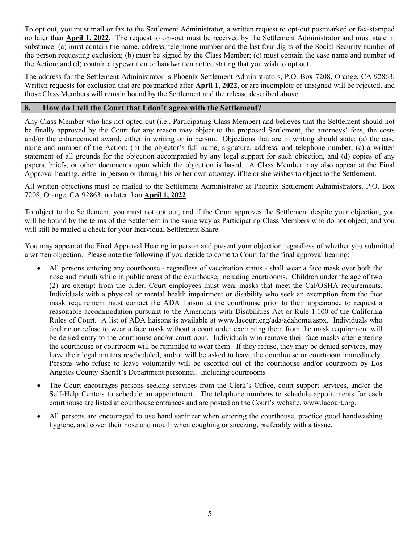To opt out, you must mail or fax to the Settlement Administrator, a written request to opt-out postmarked or fax-stamped no later than April 1, 2022. The request to opt-out must be received by the Settlement Administrator and must state in substance: (a) must contain the name, address, telephone number and the last four digits of the Social Security number of the person requesting exclusion; (b) must be signed by the Class Member; (c) must contain the case name and number of the Action; and (d) contain a typewritten or handwritten notice stating that you wish to opt out.

The address for the Settlement Administrator is Phoenix Settlement Administrators, P.O. Box 7208, Orange, CA 92863. Written requests for exclusion that are postmarked after **April 1, 2022**, or are incomplete or unsigned will be rejected, and those Class Members will remain bound by the Settlement and the release described above.

### 8. How do I tell the Court that I don't agree with the Settlement?

Any Class Member who has not opted out (i.e., Participating Class Member) and believes that the Settlement should not be finally approved by the Court for any reason may object to the proposed Settlement, the attorneys' fees, the costs and/or the enhancement award, either in writing or in person. Objections that are in writing should state: (a) the case name and number of the Action; (b) the objector's full name, signature, address, and telephone number, (c) a written statement of all grounds for the objection accompanied by any legal support for such objection, and (d) copies of any papers, briefs, or other documents upon which the objection is based. A Class Member may also appear at the Final Approval hearing, either in person or through his or her own attorney, if he or she wishes to object to the Settlement.

All written objections must be mailed to the Settlement Administrator at Phoenix Settlement Administrators, P.O. Box 7208, Orange, CA 92863, no later than April 1, 2022.

To object to the Settlement, you must not opt out, and if the Court approves the Settlement despite your objection, you will be bound by the terms of the Settlement in the same way as Participating Class Members who do not object, and you will still be mailed a check for your Individual Settlement Share.

You may appear at the Final Approval Hearing in person and present your objection regardless of whether you submitted a written objection. Please note the following if you decide to come to Court for the final approval hearing:

- All persons entering any courthouse regardless of vaccination status shall wear a face mask over both the nose and mouth while in public areas of the courthouse, including courtrooms. Children under the age of two (2) are exempt from the order. Court employees must wear masks that meet the Cal/OSHA requirements. Individuals with a physical or mental health impairment or disability who seek an exemption from the face mask requirement must contact the ADA liaison at the courthouse prior to their appearance to request a reasonable accommodation pursuant to the Americans with Disabilities Act or Rule 1.100 of the California Rules of Court. A list of ADA liaisons is available at www.lacourt.org/ada/adahome.aspx. Individuals who decline or refuse to wear a face mask without a court order exempting them from the mask requirement will be denied entry to the courthouse and/or courtroom. Individuals who remove their face masks after entering the courthouse or courtroom will be reminded to wear them. If they refuse, they may be denied services, may have their legal matters rescheduled, and/or will be asked to leave the courthouse or courtroom immediately. Persons who refuse to leave voluntarily will be escorted out of the courthouse and/or courtroom by Los Angeles County Sheriff's Department personnel. Including courtrooms
- The Court encourages persons seeking services from the Clerk's Office, court support services, and/or the Self-Help Centers to schedule an appointment. The telephone numbers to schedule appointments for each courthouse are listed at courthouse entrances and are posted on the Court's website, www.lacourt.org.
- All persons are encouraged to use hand sanitizer when entering the courthouse, practice good handwashing hygiene, and cover their nose and mouth when coughing or sneezing, preferably with a tissue.